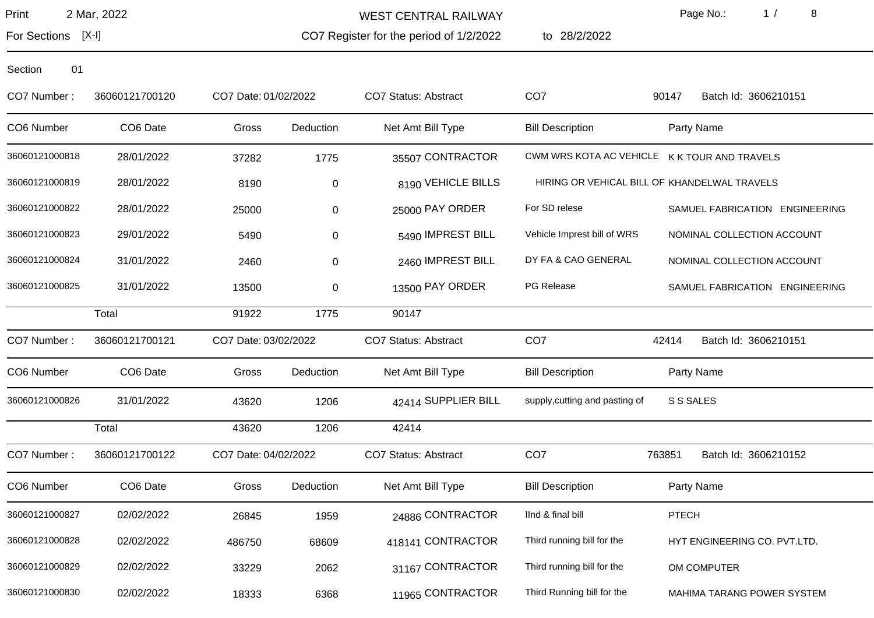For Sections [X-I]

WEST CENTRAL RAILWAY

CO7 Register for the period of 1/2/2022 to 28/2/2022 Page No.: 1 / 8

| CO7 Number:    | 36060121700120 | CO7 Date: 01/02/2022 |             | <b>CO7 Status: Abstract</b> | CO <sub>7</sub>                              | 90147<br>Batch Id: 3606210151                |
|----------------|----------------|----------------------|-------------|-----------------------------|----------------------------------------------|----------------------------------------------|
| CO6 Number     | CO6 Date       | Gross                | Deduction   | Net Amt Bill Type           | <b>Bill Description</b>                      | Party Name                                   |
| 36060121000818 | 28/01/2022     | 37282                | 1775        | 35507 CONTRACTOR            | CWM WRS KOTA AC VEHICLE K K TOUR AND TRAVELS |                                              |
| 36060121000819 | 28/01/2022     | 8190                 | $\mathbf 0$ | 8190 VEHICLE BILLS          |                                              | HIRING OR VEHICAL BILL OF KHANDELWAL TRAVELS |
| 36060121000822 | 28/01/2022     | 25000                | 0           | 25000 PAY ORDER             | For SD relese                                | SAMUEL FABRICATION ENGINEERING               |
| 36060121000823 | 29/01/2022     | 5490                 | 0           | 5490 IMPREST BILL           | Vehicle Imprest bill of WRS                  | NOMINAL COLLECTION ACCOUNT                   |
| 36060121000824 | 31/01/2022     | 2460                 | 0           | 2460 IMPREST BILL           | DY FA & CAO GENERAL                          | NOMINAL COLLECTION ACCOUNT                   |
| 36060121000825 | 31/01/2022     | 13500                | 0           | 13500 PAY ORDER             | PG Release                                   | SAMUEL FABRICATION ENGINEERING               |
|                | Total          | 91922                | 1775        | 90147                       |                                              |                                              |
| CO7 Number:    | 36060121700121 | CO7 Date: 03/02/2022 |             | CO7 Status: Abstract        | CO <sub>7</sub>                              | 42414<br>Batch Id: 3606210151                |
| CO6 Number     | CO6 Date       | Gross                | Deduction   | Net Amt Bill Type           | <b>Bill Description</b>                      | Party Name                                   |
| 36060121000826 | 31/01/2022     | 43620                | 1206        | 42414 SUPPLIER BILL         | supply, cutting and pasting of               | S S SALES                                    |
|                | Total          | 43620                | 1206        | 42414                       |                                              |                                              |
| CO7 Number:    | 36060121700122 | CO7 Date: 04/02/2022 |             | <b>CO7 Status: Abstract</b> | CO <sub>7</sub>                              | 763851<br>Batch Id: 3606210152               |
| CO6 Number     | CO6 Date       | Gross                | Deduction   | Net Amt Bill Type           | <b>Bill Description</b>                      | Party Name                                   |
| 36060121000827 | 02/02/2022     | 26845                | 1959        | 24886 CONTRACTOR            | IInd & final bill                            | <b>PTECH</b>                                 |
| 36060121000828 | 02/02/2022     | 486750               | 68609       | 418141 CONTRACTOR           | Third running bill for the                   | HYT ENGINEERING CO. PVT.LTD.                 |
| 36060121000829 | 02/02/2022     | 33229                | 2062        | 31167 CONTRACTOR            | Third running bill for the                   | OM COMPUTER                                  |
| 36060121000830 | 02/02/2022     | 18333                | 6368        | 11965 CONTRACTOR            | Third Running bill for the                   | MAHIMA TARANG POWER SYSTEM                   |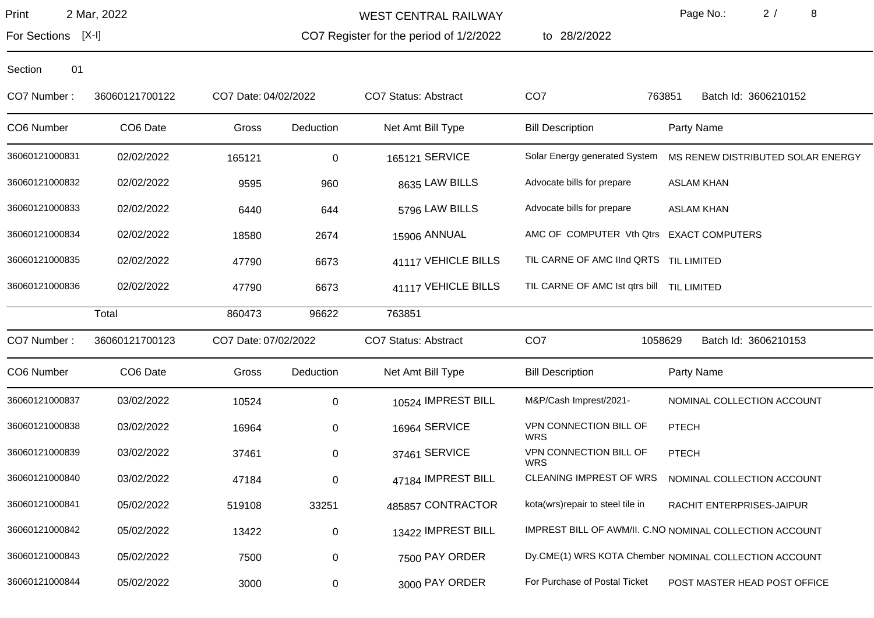For Sections [X-I]

WEST CENTRAL RAILWAY

CO7 Register for the period of 1/2/2022 to 28/2/2022 Page No.: 2 / 8

| CO7 Number:    | 36060121700122 | CO7 Date: 04/02/2022 |             | CO7 Status: Abstract        | CO <sub>7</sub>                            | 763851<br>Batch Id: 3606210152                          |
|----------------|----------------|----------------------|-------------|-----------------------------|--------------------------------------------|---------------------------------------------------------|
| CO6 Number     | CO6 Date       | Gross                | Deduction   | Net Amt Bill Type           | <b>Bill Description</b>                    | Party Name                                              |
| 36060121000831 | 02/02/2022     | 165121               | $\pmb{0}$   | 165121 SERVICE              | Solar Energy generated System              | MS RENEW DISTRIBUTED SOLAR ENERGY                       |
| 36060121000832 | 02/02/2022     | 9595                 | 960         | 8635 LAW BILLS              | Advocate bills for prepare                 | <b>ASLAM KHAN</b>                                       |
| 36060121000833 | 02/02/2022     | 6440                 | 644         | 5796 LAW BILLS              | Advocate bills for prepare                 | <b>ASLAM KHAN</b>                                       |
| 36060121000834 | 02/02/2022     | 18580                | 2674        | 15906 ANNUAL                | AMC OF COMPUTER Vth Qtrs EXACT COMPUTERS   |                                                         |
| 36060121000835 | 02/02/2022     | 47790                | 6673        | 41117 VEHICLE BILLS         | TIL CARNE OF AMC IInd QRTS TIL LIMITED     |                                                         |
| 36060121000836 | 02/02/2022     | 47790                | 6673        | 41117 VEHICLE BILLS         | TIL CARNE OF AMC Ist qtrs bill TIL LIMITED |                                                         |
|                | Total          | 860473               | 96622       | 763851                      |                                            |                                                         |
| CO7 Number:    | 36060121700123 | CO7 Date: 07/02/2022 |             | <b>CO7 Status: Abstract</b> | CO <sub>7</sub>                            | Batch Id: 3606210153<br>1058629                         |
| CO6 Number     | CO6 Date       | Gross                | Deduction   | Net Amt Bill Type           | <b>Bill Description</b>                    | Party Name                                              |
| 36060121000837 | 03/02/2022     | 10524                | $\mathbf 0$ | 10524 IMPREST BILL          | M&P/Cash Imprest/2021-                     | NOMINAL COLLECTION ACCOUNT                              |
| 36060121000838 | 03/02/2022     | 16964                | 0           | 16964 SERVICE               | VPN CONNECTION BILL OF<br><b>WRS</b>       | <b>PTECH</b>                                            |
| 36060121000839 | 03/02/2022     | 37461                | 0           | 37461 SERVICE               | VPN CONNECTION BILL OF<br><b>WRS</b>       | <b>PTECH</b>                                            |
| 36060121000840 | 03/02/2022     | 47184                | 0           | 47184 IMPREST BILL          | <b>CLEANING IMPREST OF WRS</b>             | NOMINAL COLLECTION ACCOUNT                              |
| 36060121000841 | 05/02/2022     | 519108               | 33251       | 485857 CONTRACTOR           | kota(wrs)repair to steel tile in           | RACHIT ENTERPRISES-JAIPUR                               |
| 36060121000842 | 05/02/2022     | 13422                | $\pmb{0}$   | 13422 IMPREST BILL          |                                            | IMPREST BILL OF AWM/II. C.NO NOMINAL COLLECTION ACCOUNT |
| 36060121000843 | 05/02/2022     | 7500                 | 0           | 7500 PAY ORDER              |                                            | Dy.CME(1) WRS KOTA Chember NOMINAL COLLECTION ACCOUNT   |
| 36060121000844 | 05/02/2022     | 3000                 | 0           | 3000 PAY ORDER              | For Purchase of Postal Ticket              | POST MASTER HEAD POST OFFICE                            |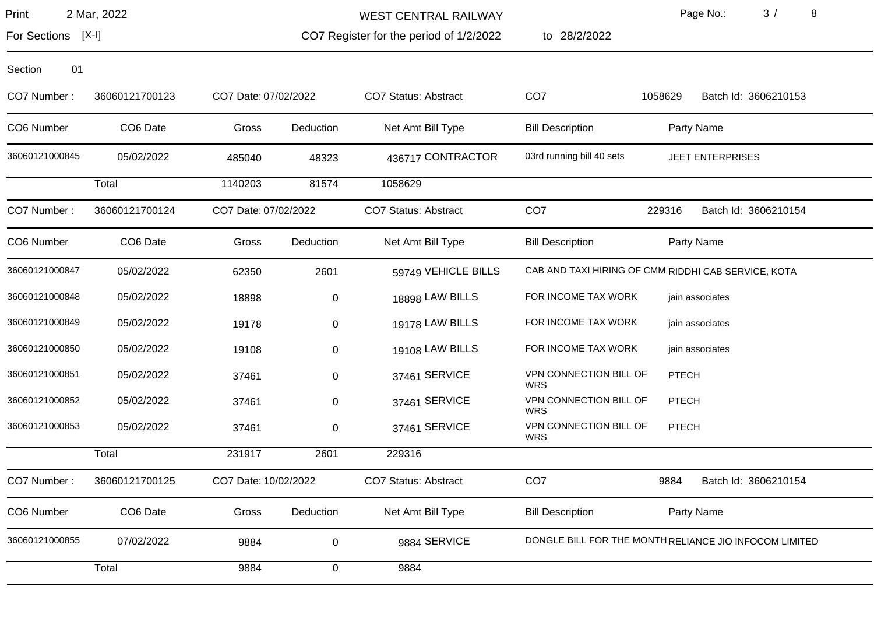For Sections [X-I]

WEST CENTRAL RAILWAY

CO7 Register for the period of 1/2/2022 to 28/2/2022 Page No.: 3 / 8

| 01<br>Section  |                |                      |             |                             |                                      |                                                        |
|----------------|----------------|----------------------|-------------|-----------------------------|--------------------------------------|--------------------------------------------------------|
| CO7 Number:    | 36060121700123 | CO7 Date: 07/02/2022 |             | CO7 Status: Abstract        | CO <sub>7</sub>                      | 1058629<br>Batch Id: 3606210153                        |
| CO6 Number     | CO6 Date       | Gross                | Deduction   | Net Amt Bill Type           | <b>Bill Description</b>              | Party Name                                             |
| 36060121000845 | 05/02/2022     | 485040               | 48323       | 436717 CONTRACTOR           | 03rd running bill 40 sets            | <b>JEET ENTERPRISES</b>                                |
|                | Total          | 1140203              | 81574       | 1058629                     |                                      |                                                        |
| CO7 Number:    | 36060121700124 | CO7 Date: 07/02/2022 |             | <b>CO7 Status: Abstract</b> | CO <sub>7</sub>                      | 229316<br>Batch Id: 3606210154                         |
| CO6 Number     | CO6 Date       | Gross                | Deduction   | Net Amt Bill Type           | <b>Bill Description</b>              | Party Name                                             |
| 36060121000847 | 05/02/2022     | 62350                | 2601        | 59749 VEHICLE BILLS         |                                      | CAB AND TAXI HIRING OF CMM RIDDHI CAB SERVICE, KOTA    |
| 36060121000848 | 05/02/2022     | 18898                | $\pmb{0}$   | 18898 LAW BILLS             | FOR INCOME TAX WORK                  | jain associates                                        |
| 36060121000849 | 05/02/2022     | 19178                | 0           | 19178 LAW BILLS             | FOR INCOME TAX WORK                  | jain associates                                        |
| 36060121000850 | 05/02/2022     | 19108                | 0           | 19108 LAW BILLS             | FOR INCOME TAX WORK                  | jain associates                                        |
| 36060121000851 | 05/02/2022     | 37461                | 0           | 37461 SERVICE               | VPN CONNECTION BILL OF<br><b>WRS</b> | <b>PTECH</b>                                           |
| 36060121000852 | 05/02/2022     | 37461                | 0           | 37461 SERVICE               | VPN CONNECTION BILL OF<br><b>WRS</b> | <b>PTECH</b>                                           |
| 36060121000853 | 05/02/2022     | 37461                | 0           | 37461 SERVICE               | VPN CONNECTION BILL OF<br><b>WRS</b> | <b>PTECH</b>                                           |
|                | Total          | 231917               | 2601        | 229316                      |                                      |                                                        |
| CO7 Number:    | 36060121700125 | CO7 Date: 10/02/2022 |             | <b>CO7 Status: Abstract</b> | CO <sub>7</sub>                      | 9884<br>Batch Id: 3606210154                           |
| CO6 Number     | CO6 Date       | Gross                | Deduction   | Net Amt Bill Type           | <b>Bill Description</b>              | Party Name                                             |
| 36060121000855 | 07/02/2022     | 9884                 | $\mathbf 0$ | 9884 SERVICE                |                                      | DONGLE BILL FOR THE MONTH RELIANCE JIO INFOCOM LIMITED |
|                | Total          | 9884                 | $\mathbf 0$ | 9884                        |                                      |                                                        |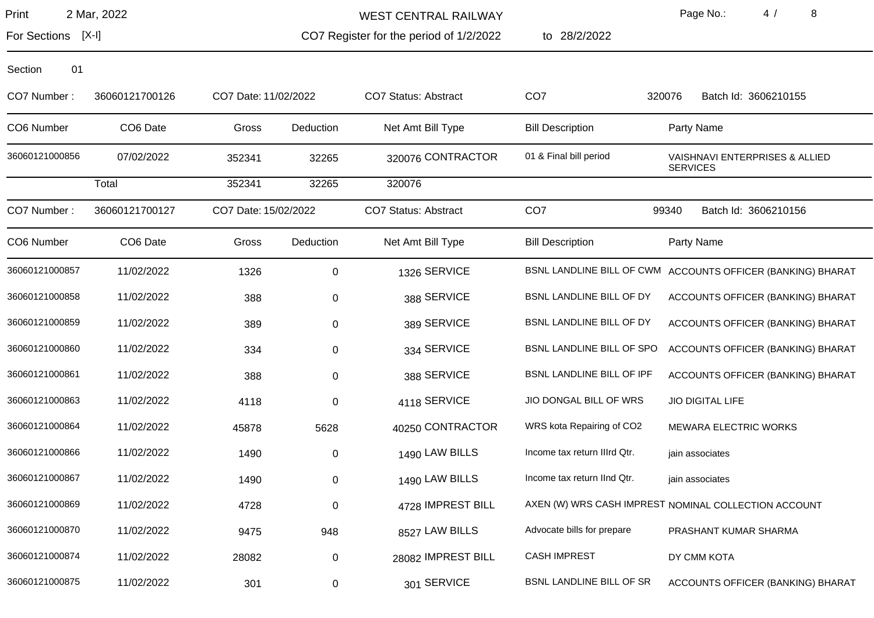For Sections [X-I]

WEST CENTRAL RAILWAY

CO7 Register for the period of 1/2/2022 to 28/2/2022 Page No.: 4 / 8

|  | 8<br>۰.<br>× |  |
|--|--------------|--|
|  |              |  |
|  |              |  |

| CO7 Number:    | 36060121700126 | CO7 Date: 11/02/2022 |           | <b>CO7 Status: Abstract</b> | CO <sub>7</sub>                 | 320076<br>Batch Id: 3606210155                              |
|----------------|----------------|----------------------|-----------|-----------------------------|---------------------------------|-------------------------------------------------------------|
| CO6 Number     | CO6 Date       | Gross                | Deduction | Net Amt Bill Type           | <b>Bill Description</b>         | Party Name                                                  |
| 36060121000856 | 07/02/2022     | 352341               | 32265     | 320076 CONTRACTOR           | 01 & Final bill period          | VAISHNAVI ENTERPRISES & ALLIED<br><b>SERVICES</b>           |
|                | Total          | 352341               | 32265     | 320076                      |                                 |                                                             |
| CO7 Number:    | 36060121700127 | CO7 Date: 15/02/2022 |           | <b>CO7 Status: Abstract</b> | CO <sub>7</sub>                 | 99340<br>Batch Id: 3606210156                               |
| CO6 Number     | CO6 Date       | Gross                | Deduction | Net Amt Bill Type           | <b>Bill Description</b>         | Party Name                                                  |
| 36060121000857 | 11/02/2022     | 1326                 | 0         | 1326 SERVICE                |                                 | BSNL LANDLINE BILL OF CWM ACCOUNTS OFFICER (BANKING) BHARAT |
| 36060121000858 | 11/02/2022     | 388                  | 0         | 388 SERVICE                 | BSNL LANDLINE BILL OF DY        | ACCOUNTS OFFICER (BANKING) BHARAT                           |
| 36060121000859 | 11/02/2022     | 389                  | 0         | 389 SERVICE                 | BSNL LANDLINE BILL OF DY        | ACCOUNTS OFFICER (BANKING) BHARAT                           |
| 36060121000860 | 11/02/2022     | 334                  | 0         | 334 SERVICE                 | BSNL LANDLINE BILL OF SPO       | ACCOUNTS OFFICER (BANKING) BHARAT                           |
| 36060121000861 | 11/02/2022     | 388                  | 0         | 388 SERVICE                 | BSNL LANDLINE BILL OF IPF       | ACCOUNTS OFFICER (BANKING) BHARAT                           |
| 36060121000863 | 11/02/2022     | 4118                 | $\pmb{0}$ | 4118 SERVICE                | JIO DONGAL BILL OF WRS          | <b>JIO DIGITAL LIFE</b>                                     |
| 36060121000864 | 11/02/2022     | 45878                | 5628      | 40250 CONTRACTOR            | WRS kota Repairing of CO2       | MEWARA ELECTRIC WORKS                                       |
| 36060121000866 | 11/02/2022     | 1490                 | 0         | 1490 LAW BILLS              | Income tax return IIIrd Qtr.    | jain associates                                             |
| 36060121000867 | 11/02/2022     | 1490                 | 0         | 1490 LAW BILLS              | Income tax return IInd Qtr.     | jain associates                                             |
| 36060121000869 | 11/02/2022     | 4728                 | 0         | 4728 IMPREST BILL           |                                 | AXEN (W) WRS CASH IMPREST NOMINAL COLLECTION ACCOUNT        |
| 36060121000870 | 11/02/2022     | 9475                 | 948       | 8527 LAW BILLS              | Advocate bills for prepare      | PRASHANT KUMAR SHARMA                                       |
| 36060121000874 | 11/02/2022     | 28082                | 0         | 28082 IMPREST BILL          | <b>CASH IMPREST</b>             | DY CMM KOTA                                                 |
| 36060121000875 | 11/02/2022     | 301                  | 0         | 301 SERVICE                 | <b>BSNL LANDLINE BILL OF SR</b> | ACCOUNTS OFFICER (BANKING) BHARAT                           |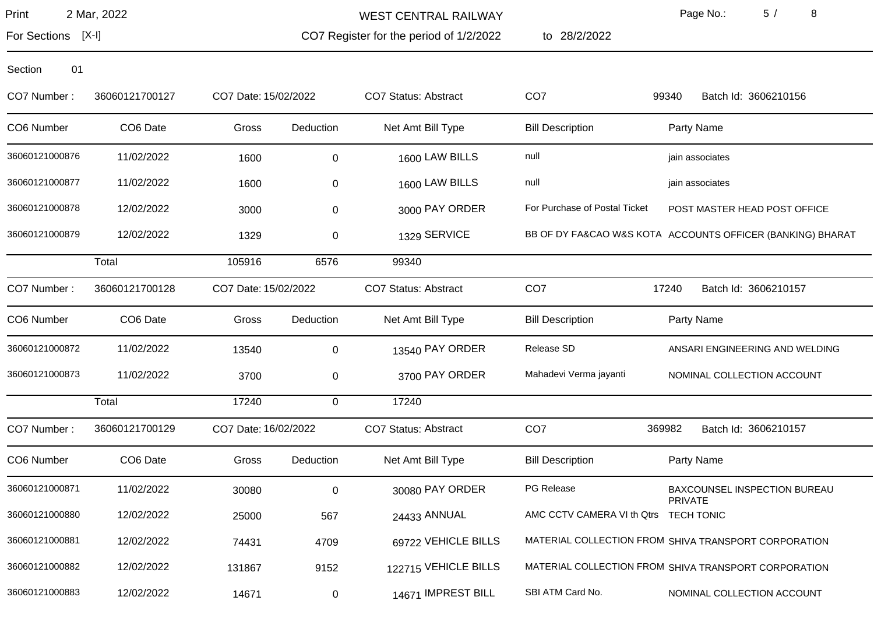For Sections [X-I]

WEST CENTRAL RAILWAY

CO7 Register for the period of 1/2/2022 to 28/2/2022 Page No.: 5 / 8

| CO7 Number:    | 36060121700127 | CO7 Date: 15/02/2022 |             | CO7 Status: Abstract        | CO <sub>7</sub>                       | 99340<br>Batch Id: 3606210156                              |
|----------------|----------------|----------------------|-------------|-----------------------------|---------------------------------------|------------------------------------------------------------|
| CO6 Number     | CO6 Date       | Gross                | Deduction   | Net Amt Bill Type           | <b>Bill Description</b>               | Party Name                                                 |
| 36060121000876 | 11/02/2022     | 1600                 | 0           | 1600 LAW BILLS              | null                                  | jain associates                                            |
| 36060121000877 | 11/02/2022     | 1600                 | 0           | 1600 LAW BILLS              | null                                  | jain associates                                            |
| 36060121000878 | 12/02/2022     | 3000                 | 0           | 3000 PAY ORDER              | For Purchase of Postal Ticket         | POST MASTER HEAD POST OFFICE                               |
| 36060121000879 | 12/02/2022     | 1329                 | $\pmb{0}$   | 1329 SERVICE                |                                       | BB OF DY FA&CAO W&S KOTA ACCOUNTS OFFICER (BANKING) BHARAT |
|                | Total          | 105916               | 6576        | 99340                       |                                       |                                                            |
| CO7 Number:    | 36060121700128 | CO7 Date: 15/02/2022 |             | CO7 Status: Abstract        | CO <sub>7</sub>                       | 17240<br>Batch Id: 3606210157                              |
| CO6 Number     | CO6 Date       | Gross                | Deduction   | Net Amt Bill Type           | <b>Bill Description</b>               | Party Name                                                 |
| 36060121000872 | 11/02/2022     | 13540                | 0           | 13540 PAY ORDER             | Release SD                            | ANSARI ENGINEERING AND WELDING                             |
| 36060121000873 | 11/02/2022     | 3700                 | 0           | 3700 PAY ORDER              | Mahadevi Verma jayanti                | NOMINAL COLLECTION ACCOUNT                                 |
|                | Total          | 17240                | $\mathbf 0$ | 17240                       |                                       |                                                            |
| CO7 Number:    | 36060121700129 | CO7 Date: 16/02/2022 |             | <b>CO7 Status: Abstract</b> | CO <sub>7</sub>                       | 369982<br>Batch Id: 3606210157                             |
| CO6 Number     | CO6 Date       | Gross                | Deduction   | Net Amt Bill Type           | <b>Bill Description</b>               | Party Name                                                 |
| 36060121000871 | 11/02/2022     | 30080                | $\pmb{0}$   | 30080 PAY ORDER             | PG Release                            | BAXCOUNSEL INSPECTION BUREAU<br><b>PRIVATE</b>             |
| 36060121000880 | 12/02/2022     | 25000                | 567         | 24433 ANNUAL                | AMC CCTV CAMERA VI th Qtrs TECH TONIC |                                                            |
| 36060121000881 | 12/02/2022     | 74431                | 4709        | 69722 VEHICLE BILLS         |                                       | MATERIAL COLLECTION FROM SHIVA TRANSPORT CORPORATION       |
| 36060121000882 | 12/02/2022     | 131867               | 9152        | 122715 VEHICLE BILLS        |                                       | MATERIAL COLLECTION FROM SHIVA TRANSPORT CORPORATION       |
| 36060121000883 | 12/02/2022     | 14671                | 0           | 14671 IMPREST BILL          | SBI ATM Card No.                      | NOMINAL COLLECTION ACCOUNT                                 |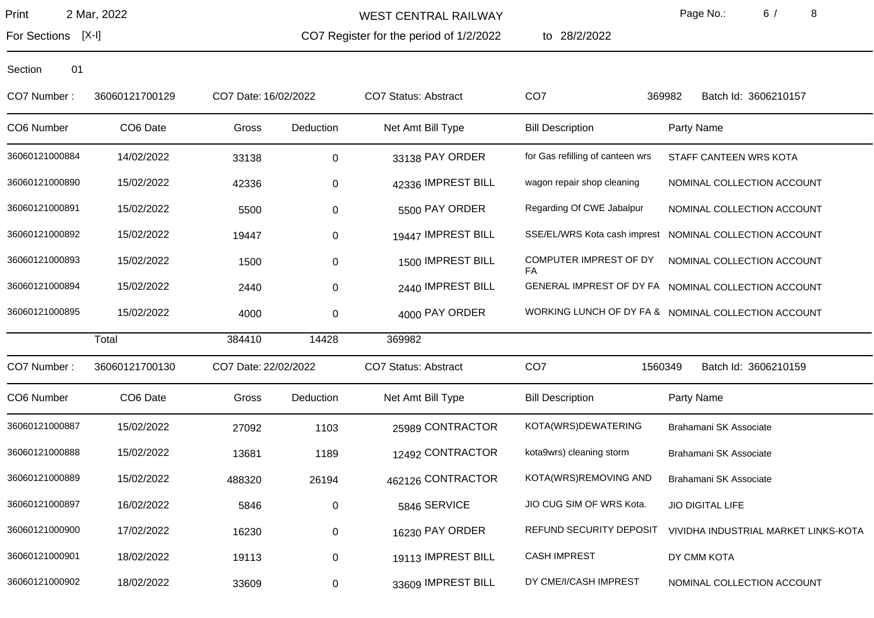For Sections [X-I]

WEST CENTRAL RAILWAY

CO7 Register for the period of 1/2/2022 to 28/2/2022 Page No.: 6 / 8

| CO7 Number:    | 36060121700129       | CO7 Date: 16/02/2022 |           | <b>CO7 Status: Abstract</b> | CO <sub>7</sub>                     | 369982<br>Batch Id: 3606210157                          |
|----------------|----------------------|----------------------|-----------|-----------------------------|-------------------------------------|---------------------------------------------------------|
| CO6 Number     | CO <sub>6</sub> Date | Gross                | Deduction | Net Amt Bill Type           | <b>Bill Description</b>             | Party Name                                              |
| 36060121000884 | 14/02/2022           | 33138                | 0         | 33138 PAY ORDER             | for Gas refilling of canteen wrs    | STAFF CANTEEN WRS KOTA                                  |
| 36060121000890 | 15/02/2022           | 42336                | 0         | 42336 IMPREST BILL          | wagon repair shop cleaning          | NOMINAL COLLECTION ACCOUNT                              |
| 36060121000891 | 15/02/2022           | 5500                 | 0         | 5500 PAY ORDER              | Regarding Of CWE Jabalpur           | NOMINAL COLLECTION ACCOUNT                              |
| 36060121000892 | 15/02/2022           | 19447                | 0         | 19447 IMPREST BILL          |                                     | SSE/EL/WRS Kota cash imprest NOMINAL COLLECTION ACCOUNT |
| 36060121000893 | 15/02/2022           | 1500                 | 0         | 1500 IMPREST BILL           | COMPUTER IMPREST OF DY<br><b>FA</b> | NOMINAL COLLECTION ACCOUNT                              |
| 36060121000894 | 15/02/2022           | 2440                 | 0         | 2440 IMPREST BILL           |                                     | GENERAL IMPREST OF DY FA NOMINAL COLLECTION ACCOUNT     |
| 36060121000895 | 15/02/2022           | 4000                 | 0         | 4000 PAY ORDER              |                                     | WORKING LUNCH OF DY FA & NOMINAL COLLECTION ACCOUNT     |
|                | Total                | 384410               | 14428     | 369982                      |                                     |                                                         |
| CO7 Number:    | 36060121700130       | CO7 Date: 22/02/2022 |           | <b>CO7 Status: Abstract</b> | CO <sub>7</sub>                     | 1560349<br>Batch Id: 3606210159                         |
| CO6 Number     | CO6 Date             | Gross                | Deduction | Net Amt Bill Type           | <b>Bill Description</b>             | Party Name                                              |
| 36060121000887 | 15/02/2022           | 27092                | 1103      | 25989 CONTRACTOR            | KOTA(WRS)DEWATERING                 | Brahamani SK Associate                                  |
| 36060121000888 | 15/02/2022           | 13681                | 1189      | 12492 CONTRACTOR            | kota9wrs) cleaning storm            | Brahamani SK Associate                                  |
| 36060121000889 | 15/02/2022           | 488320               | 26194     | 462126 CONTRACTOR           | KOTA(WRS)REMOVING AND               | Brahamani SK Associate                                  |
| 36060121000897 | 16/02/2022           | 5846                 | 0         | 5846 SERVICE                | JIO CUG SIM OF WRS Kota.            | <b>JIO DIGITAL LIFE</b>                                 |
| 36060121000900 | 17/02/2022           | 16230                | 0         | 16230 PAY ORDER             | REFUND SECURITY DEPOSIT             | VIVIDHA INDUSTRIAL MARKET LINKS-KOTA                    |
| 36060121000901 | 18/02/2022           | 19113                | 0         | 19113 IMPREST BILL          | <b>CASH IMPREST</b>                 | DY CMM KOTA                                             |
| 36060121000902 | 18/02/2022           | 33609                | 0         | 33609 IMPREST BILL          | DY CME/I/CASH IMPREST               | NOMINAL COLLECTION ACCOUNT                              |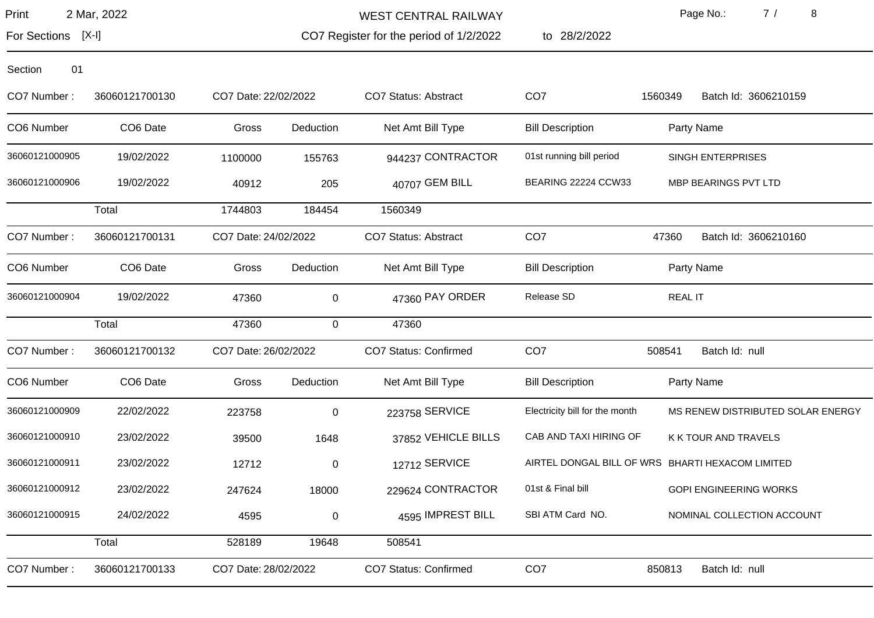For Sections [X-I]

Section 01

WEST CENTRAL RAILWAY

CO7 Register for the period of 1/2/2022 to 28/2/2022 Page No.: 7 / 8

| CO7 Number:    | 36060121700130 | CO7 Date: 22/02/2022 |             | <b>CO7 Status: Abstract</b>  | CO <sub>7</sub>                | 1560349<br>Batch Id: 3606210159                  |
|----------------|----------------|----------------------|-------------|------------------------------|--------------------------------|--------------------------------------------------|
| CO6 Number     | CO6 Date       | Gross                | Deduction   | Net Amt Bill Type            | <b>Bill Description</b>        | Party Name                                       |
| 36060121000905 | 19/02/2022     | 1100000              | 155763      | 944237 CONTRACTOR            | 01st running bill period       | SINGH ENTERPRISES                                |
| 36060121000906 | 19/02/2022     | 40912                | 205         | 40707 GEM BILL               | BEARING 22224 CCW33            | MBP BEARINGS PVT LTD                             |
|                | Total          | 1744803              | 184454      | 1560349                      |                                |                                                  |
| CO7 Number:    | 36060121700131 | CO7 Date: 24/02/2022 |             | <b>CO7 Status: Abstract</b>  | CO <sub>7</sub>                | 47360<br>Batch Id: 3606210160                    |
| CO6 Number     | CO6 Date       | Gross                | Deduction   | Net Amt Bill Type            | <b>Bill Description</b>        | Party Name                                       |
| 36060121000904 | 19/02/2022     | 47360                | 0           | 47360 PAY ORDER              | Release SD                     | <b>REAL IT</b>                                   |
|                | Total          | 47360                | $\mathbf 0$ | 47360                        |                                |                                                  |
| CO7 Number:    | 36060121700132 | CO7 Date: 26/02/2022 |             | CO7 Status: Confirmed        | CO <sub>7</sub>                | 508541<br>Batch Id: null                         |
| CO6 Number     | CO6 Date       | Gross                | Deduction   | Net Amt Bill Type            | <b>Bill Description</b>        | Party Name                                       |
| 36060121000909 | 22/02/2022     | 223758               | $\pmb{0}$   | 223758 SERVICE               | Electricity bill for the month | MS RENEW DISTRIBUTED SOLAR ENERGY                |
| 36060121000910 | 23/02/2022     | 39500                | 1648        | 37852 VEHICLE BILLS          | CAB AND TAXI HIRING OF         | K K TOUR AND TRAVELS                             |
| 36060121000911 | 23/02/2022     | 12712                | $\mathbf 0$ | 12712 SERVICE                |                                | AIRTEL DONGAL BILL OF WRS BHARTI HEXACOM LIMITED |
| 36060121000912 | 23/02/2022     | 247624               | 18000       | 229624 CONTRACTOR            | 01st & Final bill              | <b>GOPI ENGINEERING WORKS</b>                    |
| 36060121000915 | 24/02/2022     | 4595                 | $\mathbf 0$ | 4595 IMPREST BILL            | SBI ATM Card NO.               | NOMINAL COLLECTION ACCOUNT                       |
|                | Total          | 528189               | 19648       | 508541                       |                                |                                                  |
| CO7 Number:    | 36060121700133 | CO7 Date: 28/02/2022 |             | <b>CO7 Status: Confirmed</b> | CO <sub>7</sub>                | 850813<br>Batch Id: null                         |